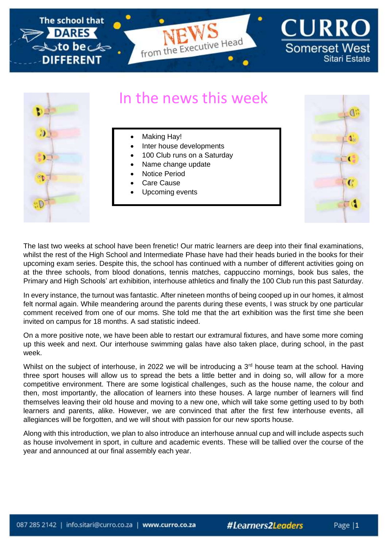

## In the news this week

- 3D)
- Making Hay!
- Inter house developments
- 100 Club runs on a Saturday
- Name change update
- Notice Period
- Care Cause
- Upcoming events



The last two weeks at school have been frenetic! Our matric learners are deep into their final examinations, whilst the rest of the High School and Intermediate Phase have had their heads buried in the books for their upcoming exam series. Despite this, the school has continued with a number of different activities going on at the three schools, from blood donations, tennis matches, cappuccino mornings, book bus sales, the Primary and High Schools' art exhibition, interhouse athletics and finally the 100 Club run this past Saturday.

In every instance, the turnout was fantastic. After nineteen months of being cooped up in our homes, it almost felt normal again. While meandering around the parents during these events, I was struck by one particular comment received from one of our moms. She told me that the art exhibition was the first time she been invited on campus for 18 months. A sad statistic indeed.

On a more positive note, we have been able to restart our extramural fixtures, and have some more coming up this week and next. Our interhouse swimming galas have also taken place, during school, in the past week.

Whilst on the subject of interhouse, in 2022 we will be introducing a  $3<sup>rd</sup>$  house team at the school. Having three sport houses will allow us to spread the bets a little better and in doing so, will allow for a more competitive environment. There are some logistical challenges, such as the house name, the colour and then, most importantly, the allocation of learners into these houses. A large number of learners will find themselves leaving their old house and moving to a new one, which will take some getting used to by both learners and parents, alike. However, we are convinced that after the first few interhouse events, all allegiances will be forgotten, and we will shout with passion for our new sports house.

Along with this introduction, we plan to also introduce an interhouse annual cup and will include aspects such as house involvement in sport, in culture and academic events. These will be tallied over the course of the year and announced at our final assembly each year.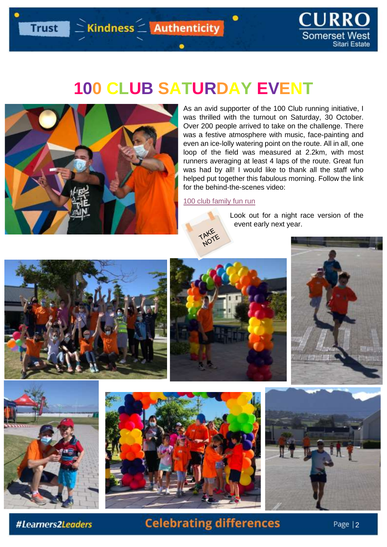Trust Ekindness EAuthenticity



# **100 CLUB SATURDAY EVENT**



As an avid supporter of the 100 Club running initiative, I was thrilled with the turnout on Saturday, 30 October. Over 200 people arrived to take on the challenge. There was a festive atmosphere with music, face-painting and even an ice-lolly watering point on the route. All in all, one loop of the field was measured at 2.2km, with most runners averaging at least 4 laps of the route. Great fun was had by all! I would like to thank all the staff who helped put together this fabulous morning. Follow the link for the behind-the-scenes video:

[100 club family fun run](https://youtu.be/ZdBQWlYsmzI)

TAKE

Look out for a night race version of the event early next year.













#Learners2Leaders

## **Celebrating differences**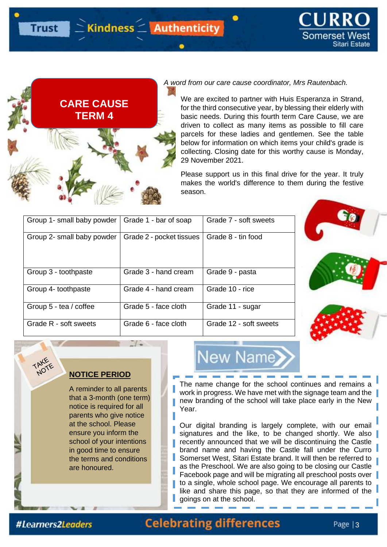



**Trust** 

#### *A word from our care cause coordinator, Mrs Rautenbach.*

We are excited to partner with Huis Esperanza in Strand, for the third consecutive year, by blessing their elderly with basic needs. During this fourth term Care Cause, we are driven to collect as many items as possible to fill care parcels for these ladies and gentlemen. See the table below for information on which items your child's grade is collecting. Closing date for this worthy cause is Monday, 29 November 2021.

Please support us in this final drive for the year. It truly makes the world's difference to them during the festive season.

| Group 1- small baby powder | Grade 1 - bar of soap    | Grade 7 - soft sweets  |
|----------------------------|--------------------------|------------------------|
| Group 2- small baby powder | Grade 2 - pocket tissues | Grade 8 - tin food     |
| Group 3 - toothpaste       | Grade 3 - hand cream     | Grade 9 - pasta        |
| Group 4- toothpaste        | Grade 4 - hand cream     | Grade 10 - rice        |
| Group 5 - tea / coffee     | Grade 5 - face cloth     | Grade 11 - sugar       |
| Grade R - soft sweets      | Grade 6 - face cloth     | Grade 12 - soft sweets |





A reminder to all parents [that a 3-month \(one term\)](https://www.google.co.za/url?sa=i&url=https%3A%2F%2Fwww.rawpixel.com%2Fsearch%3Fsimilar%3D1217660&psig=AOvVaw3OsJMnZWREhhGPrvEp2RpZ&ust=1628166252357000&source=images&cd=vfe&ved=0CAcQjRxqFwoTCJCp_pCul_ICFQAAAAAdAAAAABAn)  notice is required for all parents who give notice at the school. Please ensure you inform the school of your intentions in good time to ensure the terms and conditions are honoured.



The name change for the school continues and remains a work in progress. We have met with the signage team and the new branding of the school will take place early in the New Year.

Our digital branding is largely complete, with our email signatures and the like, to be changed shortly. We also recently announced that we will be discontinuing the Castle brand name and having the Castle fall under the Curro Somerset West, Sitari Estate brand. It will then be referred to as the Preschool. We are also going to be closing our Castle Facebook page and will be migrating all preschool posts over to a single, whole school page. We encourage all parents to like and share this page, so that they are informed of the goings on at the school.

#Learners2Leaders

### **Celebrating differences**